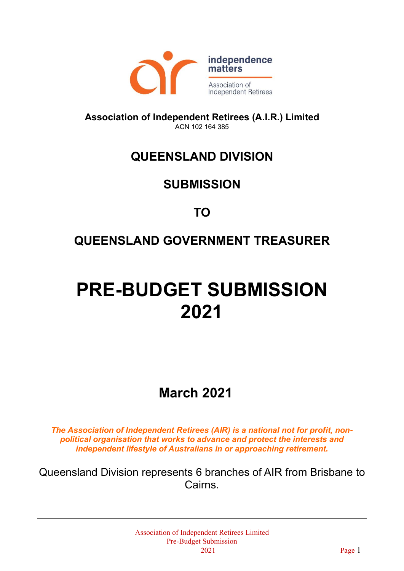

**Association of Independent Retirees (A.I.R.) Limited** ACN 102 164 385

## **QUEENSLAND DIVISION**

## **SUBMISSION**

## **TO**

## **QUEENSLAND GOVERNMENT TREASURER**

# **PRE-BUDGET SUBMISSION 2021**

# **March 2021**

*The Association of Independent Retirees (AIR) is a national not for profit, nonpolitical organisation that works to advance and protect the interests and independent lifestyle of Australians in or approaching retirement.*

Queensland Division represents 6 branches of AIR from Brisbane to Cairns.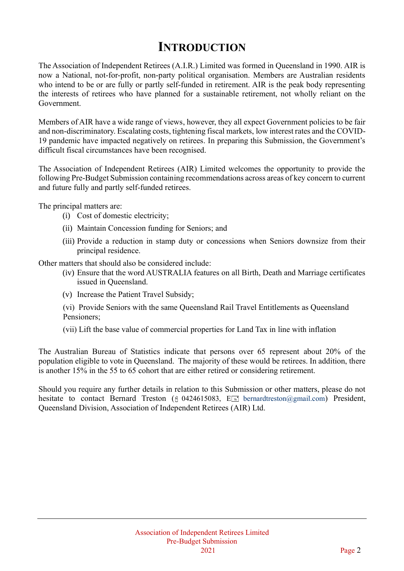## **INTRODUCTION**

The Association of Independent Retirees (A.I.R.) Limited was formed in Queensland in 1990. AIR is now a National, not-for-profit, non-party political organisation. Members are Australian residents who intend to be or are fully or partly self-funded in retirement. AIR is the peak body representing the interests of retirees who have planned for a sustainable retirement, not wholly reliant on the Government.

Members of AIR have a wide range of views, however, they all expect Government policies to be fair and non-discriminatory. Escalating costs, tightening fiscal markets, low interest rates and the COVID-19 pandemic have impacted negatively on retirees. In preparing this Submission, the Government's difficult fiscal circumstances have been recognised.

The Association of Independent Retirees (AIR) Limited welcomes the opportunity to provide the following Pre-Budget Submission containing recommendations across areas of key concern to current and future fully and partly self-funded retirees.

The principal matters are:

- (i) Cost of domestic electricity;
- (ii) Maintain Concession funding for Seniors; and
- (iii) Provide a reduction in stamp duty or concessions when Seniors downsize from their principal residence.

Other matters that should also be considered include:

- (iv) Ensure that the word AUSTRALIA features on all Birth, Death and Marriage certificates issued in Queensland.
- (v) Increase the Patient Travel Subsidy;

(vi) Provide Seniors with the same Queensland Rail Travel Entitlements as Queensland Pensioners;

(vii) Lift the base value of commercial properties for Land Tax in line with inflation

The Australian Bureau of Statistics indicate that persons over 65 represent about 20% of the population eligible to vote in Queensland. The majority of these would be retirees. In addition, there is another 15% in the 55 to 65 cohort that are either retired or considering retirement.

Should you require any further details in relation to this Submission or other matters, please do not hesitate to contact Bernard Treston ( $\frac{6}{9}$  0424615083, E bernardtreston ( $\frac{2}{9}$  mail.com) President, Queensland Division, Association of Independent Retirees (AIR) Ltd.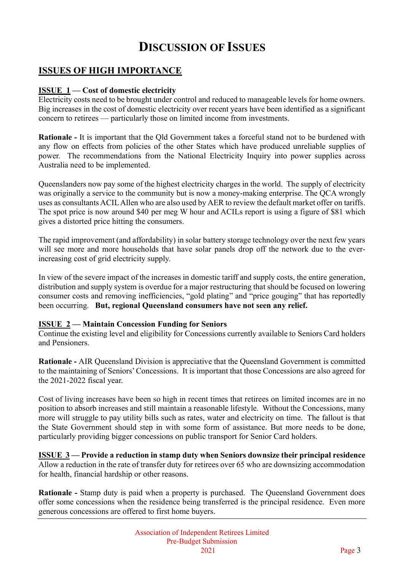## **DISCUSSION OF ISSUES**

#### **ISSUES OF HIGH IMPORTANCE**

#### **ISSUE 1 — Cost of domestic electricity**

Electricity costs need to be brought under control and reduced to manageable levels for home owners. Big increases in the cost of domestic electricity over recent years have been identified as a significant concern to retirees — particularly those on limited income from investments.

**Rationale -** It is important that the Qld Government takes a forceful stand not to be burdened with any flow on effects from policies of the other States which have produced unreliable supplies of power. The recommendations from the National Electricity Inquiry into power supplies across Australia need to be implemented.

Queenslanders now pay some of the highest electricity charges in the world. The supply of electricity was originally a service to the community but is now a money-making enterprise. The QCA wrongly uses as consultants ACIL Allen who are also used by AER to review the default market offer on tariffs. The spot price is now around \$40 per meg W hour and ACILs report is using a figure of \$81 which gives a distorted price hitting the consumers.

The rapid improvement (and affordability) in solar battery storage technology over the next few years will see more and more households that have solar panels drop off the network due to the everincreasing cost of grid electricity supply.

In view of the severe impact of the increases in domestic tariff and supply costs, the entire generation, distribution and supply system is overdue for a major restructuring that should be focused on lowering consumer costs and removing inefficiencies, "gold plating" and "price gouging" that has reportedly been occurring. **But, regional Queensland consumers have not seen any relief.**

#### **ISSUE 2 — Maintain Concession Funding for Seniors**

Continue the existing level and eligibility for Concessions currently available to Seniors Card holders and Pensioners.

**Rationale -** AIR Queensland Division is appreciative that the Queensland Government is committed to the maintaining of Seniors' Concessions. It is important that those Concessions are also agreed for the 2021-2022 fiscal year.

Cost of living increases have been so high in recent times that retirees on limited incomes are in no position to absorb increases and still maintain a reasonable lifestyle. Without the Concessions, many more will struggle to pay utility bills such as rates, water and electricity on time. The fallout is that the State Government should step in with some form of assistance. But more needs to be done, particularly providing bigger concessions on public transport for Senior Card holders.

**ISSUE 3 — Provide a reduction in stamp duty when Seniors downsize their principal residence** Allow a reduction in the rate of transfer duty for retirees over 65 who are downsizing accommodation for health, financial hardship or other reasons.

**Rationale -** Stamp duty is paid when a property is purchased. The Queensland Government does offer some concessions when the residence being transferred is the principal residence. Even more generous concessions are offered to first home buyers.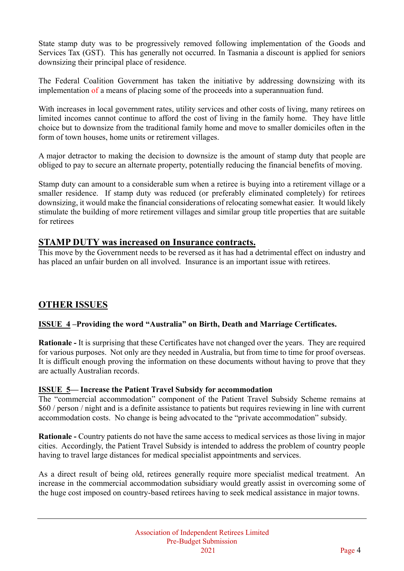State stamp duty was to be progressively removed following implementation of the Goods and Services Tax (GST). This has generally not occurred. In Tasmania a discount is applied for seniors downsizing their principal place of residence.

The Federal Coalition Government has taken the initiative by addressing downsizing with its implementation of a means of placing some of the proceeds into a superannuation fund.

With increases in local government rates, utility services and other costs of living, many retirees on limited incomes cannot continue to afford the cost of living in the family home. They have little choice but to downsize from the traditional family home and move to smaller domiciles often in the form of town houses, home units or retirement villages.

A major detractor to making the decision to downsize is the amount of stamp duty that people are obliged to pay to secure an alternate property, potentially reducing the financial benefits of moving.

Stamp duty can amount to a considerable sum when a retiree is buying into a retirement village or a smaller residence. If stamp duty was reduced (or preferably eliminated completely) for retirees downsizing, it would make the financial considerations of relocating somewhat easier. It would likely stimulate the building of more retirement villages and similar group title properties that are suitable for retirees

#### **STAMP DUTY was increased on Insurance contracts.**

This move by the Government needs to be reversed as it has had a detrimental effect on industry and has placed an unfair burden on all involved. Insurance is an important issue with retirees.

#### **OTHER ISSUES**

#### **ISSUE 4 –Providing the word "Australia" on Birth, Death and Marriage Certificates.**

**Rationale -** It is surprising that these Certificates have not changed over the years. They are required for various purposes. Not only are they needed in Australia, but from time to time for proof overseas. It is difficult enough proving the information on these documents without having to prove that they are actually Australian records.

#### **ISSUE 5— Increase the Patient Travel Subsidy for accommodation**

The "commercial accommodation" component of the Patient Travel Subsidy Scheme remains at \$60 / person / night and is a definite assistance to patients but requires reviewing in line with current accommodation costs. No change is being advocated to the "private accommodation" subsidy.

**Rationale -** Country patients do not have the same access to medical services as those living in major cities. Accordingly, the Patient Travel Subsidy is intended to address the problem of country people having to travel large distances for medical specialist appointments and services.

As a direct result of being old, retirees generally require more specialist medical treatment. An increase in the commercial accommodation subsidiary would greatly assist in overcoming some of the huge cost imposed on country-based retirees having to seek medical assistance in major towns.